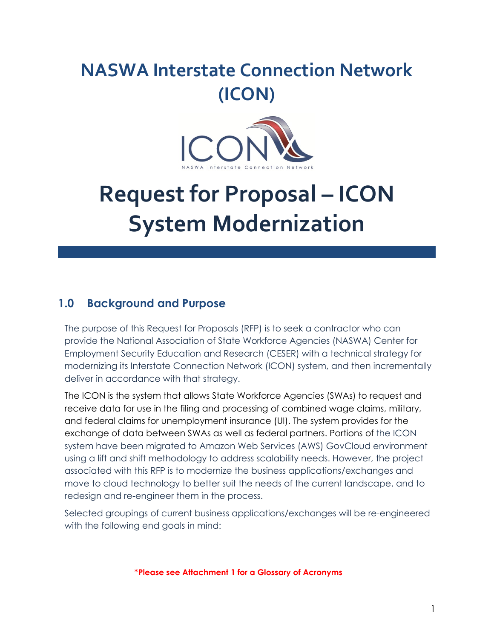# **NASWA Interstate Connection Network (ICON)**



# **Request for Proposal – ICON System Modernization**

# **1.0 Background and Purpose**

The purpose of this Request for Proposals (RFP) is to seek a contractor who can provide the National Association of State Workforce Agencies (NASWA) Center for Employment Security Education and Research (CESER) with a technical strategy for modernizing its Interstate Connection Network (ICON) system, and then incrementally deliver in accordance with that strategy.

The ICON is the system that allows State Workforce Agencies (SWAs) to request and receive data for use in the filing and processing of combined wage claims, military, and federal claims for unemployment insurance (UI). The system provides for the exchange of data between SWAs as well as federal partners. Portions of the ICON system have been migrated to Amazon Web Services (AWS) GovCloud environment using a lift and shift methodology to address scalability needs. However, the project associated with this RFP is to modernize the business applications/exchanges and move to cloud technology to better suit the needs of the current landscape, and to redesign and re-engineer them in the process.

Selected groupings of current business applications/exchanges will be re-engineered with the following end goals in mind:

\***Please see Attachment 1 for a Glossary of Acronyms**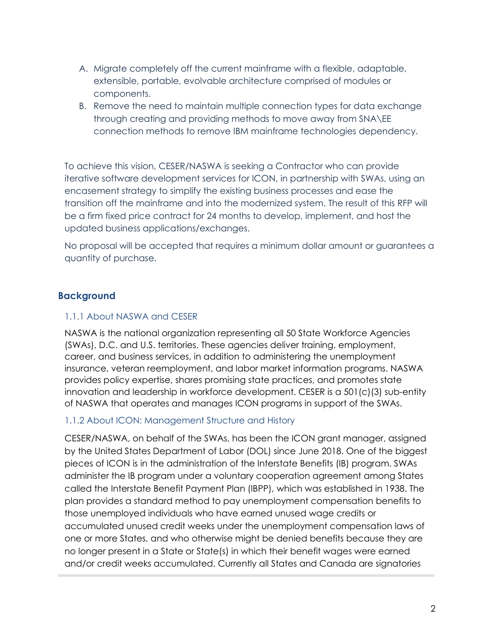- A. Migrate completely off the current mainframe with a flexible, adaptable, extensible, portable, evolvable architecture comprised of modules or components.
- B. Remove the need to maintain multiple connection types for data exchange through creating and providing methods to move away from SNA\EE connection methods to remove IBM mainframe technologies dependency.

To achieve this vision, CESER/NASWA is seeking a Contractor who can provide iterative software development services for ICON, in partnership with SWAs, using an encasement strategy to simplify the existing business processes and ease the transition off the mainframe and into the modernized system. The result of this RFP will be a firm fixed price contract for 24 months to develop, implement, and host the updated business applications/exchanges.

No proposal will be accepted that requires a minimum dollar amount or guarantees a quantity of purchase.

#### **Background**

#### 1.1.1 About NASWA and CESER

NASWA is the national organization representing all 50 State Workforce Agencies (SWAs), D.C. and U.S. territories. These agencies deliver training, employment, career, and business services, in addition to administering the unemployment insurance, veteran reemployment, and labor market information programs. NASWA provides policy expertise, shares promising state practices, and promotes state innovation and leadership in workforce development. CESER is a 501(c)(3) sub-entity of NASWA that operates and manages ICON programs in support of the SWAs.

#### 1.1.2 About ICON: Management Structure and History

CESER/NASWA, on behalf of the SWAs, has been the ICON grant manager, assigned by the United States Department of Labor (DOL) since June 2018. One of the biggest pieces of ICON is in the administration of the Interstate Benefits (IB) program. SWAs administer the IB program under a voluntary cooperation agreement among States called the Interstate Benefit Payment Plan (IBPP), which was established in 1938. The plan provides a standard method to pay unemployment compensation benefits to those unemployed individuals who have earned unused wage credits or accumulated unused credit weeks under the unemployment compensation laws of one or more States, and who otherwise might be denied benefits because they are no longer present in a State or State(s) in which their benefit wages were earned and/or credit weeks accumulated. Currently all States and Canada are signatories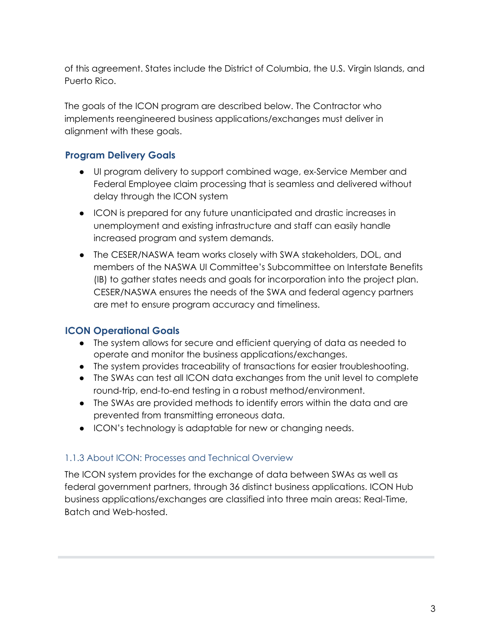of this agreement. States include the District of Columbia, the U.S. Virgin Islands, and Puerto Rico.

The goals of the ICON program are described below. The Contractor who implements reengineered business applications/exchanges must deliver in alignment with these goals.

### **Program Delivery Goals**

- UI program delivery to support combined wage, ex-Service Member and Federal Employee claim processing that is seamless and delivered without delay through the ICON system
- ICON is prepared for any future unanticipated and drastic increases in unemployment and existing infrastructure and staff can easily handle increased program and system demands.
- The CESER/NASWA team works closely with SWA stakeholders, DOL, and members of the NASWA UI Committee's Subcommittee on Interstate Benefits (IB) to gather states needs and goals for incorporation into the project plan. CESER/NASWA ensures the needs of the SWA and federal agency partners are met to ensure program accuracy and timeliness.

### **ICON Operational Goals**

- The system allows for secure and efficient querying of data as needed to operate and monitor the business applications/exchanges.
- The system provides traceability of transactions for easier troubleshooting.
- The SWAs can test all ICON data exchanges from the unit level to complete round-trip, end-to-end testing in a robust method/environment.
- The SWAs are provided methods to identify errors within the data and are prevented from transmitting erroneous data.
- ICON's technology is adaptable for new or changing needs.

#### 1.1.3 About ICON: Processes and Technical Overview

The ICON system provides for the exchange of data between SWAs as well as federal government partners, through 36 distinct business applications. ICON Hub business applications/exchanges are classified into three main areas: Real-Time, Batch and Web-hosted.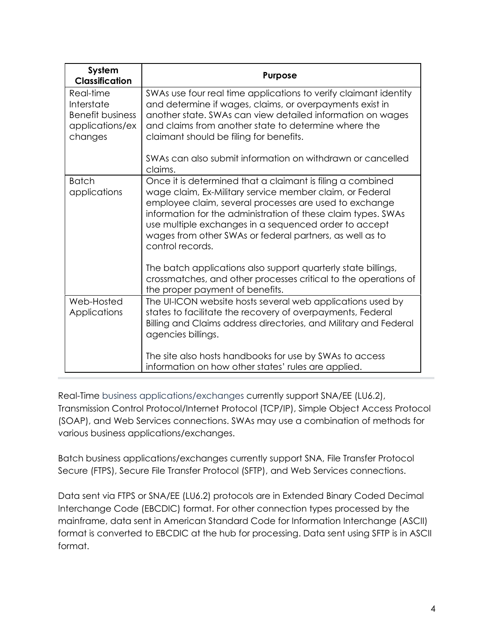| System<br><b>Classification</b>                                                  | <b>Purpose</b>                                                                                                                                                                                                                                                                                                                                                                                                                                              |
|----------------------------------------------------------------------------------|-------------------------------------------------------------------------------------------------------------------------------------------------------------------------------------------------------------------------------------------------------------------------------------------------------------------------------------------------------------------------------------------------------------------------------------------------------------|
| Real-time<br>Interstate<br><b>Benefit business</b><br>applications/ex<br>changes | SWAs use four real time applications to verify claimant identity<br>and determine if wages, claims, or overpayments exist in<br>another state. SWAs can view detailed information on wages<br>and claims from another state to determine where the<br>claimant should be filing for benefits.                                                                                                                                                               |
|                                                                                  | SWAs can also submit information on withdrawn or cancelled<br>claims.                                                                                                                                                                                                                                                                                                                                                                                       |
| <b>Batch</b><br>applications                                                     | Once it is determined that a claimant is filing a combined<br>wage claim, Ex-Military service member claim, or Federal<br>employee claim, several processes are used to exchange<br>information for the administration of these claim types. SWAs<br>use multiple exchanges in a sequenced order to accept<br>wages from other SWAs or federal partners, as well as to<br>control records.<br>The batch applications also support quarterly state billings, |
|                                                                                  | crossmatches, and other processes critical to the operations of<br>the proper payment of benefits.                                                                                                                                                                                                                                                                                                                                                          |
| Web-Hosted<br>Applications                                                       | The UI-ICON website hosts several web applications used by<br>states to facilitate the recovery of overpayments, Federal<br>Billing and Claims address directories, and Military and Federal<br>agencies billings.                                                                                                                                                                                                                                          |
|                                                                                  | The site also hosts handbooks for use by SWAs to access<br>information on how other states' rules are applied.                                                                                                                                                                                                                                                                                                                                              |

Real-Time business applications/exchanges currently support SNA/EE (LU6.2), Transmission Control Protocol/Internet Protocol (TCP/IP), Simple Object Access Protocol (SOAP), and Web Services connections. SWAs may use a combination of methods for various business applications/exchanges.

Batch business applications/exchanges currently support SNA, File Transfer Protocol Secure (FTPS), Secure File Transfer Protocol (SFTP), and Web Services connections.

Data sent via FTPS or SNA/EE (LU6.2) protocols are in Extended Binary Coded Decimal Interchange Code (EBCDIC) format. For other connection types processed by the mainframe, data sent in American Standard Code for Information Interchange (ASCII) format is converted to EBCDIC at the hub for processing. Data sent using SFTP is in ASCII format.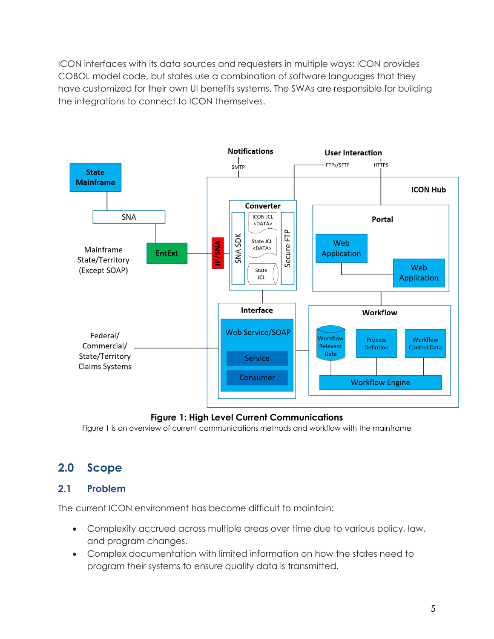ICON interfaces with its data sources and requesters in multiple ways: ICON provides COBOL model code, but states use a combination of software languages that they have customized for their own UI benefits systems. The SWAs are responsible for building the integrations to connect to ICON themselves.



#### **Figure 1: High Level Current Communications**

Figure 1 is an overview of current communications methods and workflow with the mainframe

# **2.0 Scope**

#### **2.1 Problem**

The current ICON environment has become difficult to maintain:

- Complexity accrued across multiple areas over time due to various policy, law, and program changes.
- Complex documentation with limited information on how the states need to program their systems to ensure quality data is transmitted.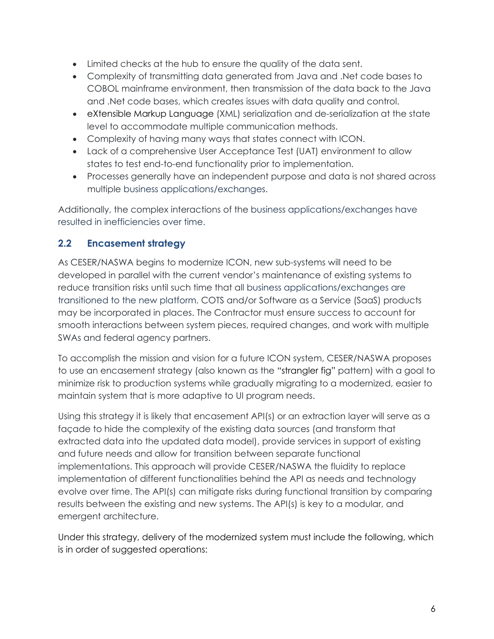- Limited checks at the hub to ensure the quality of the data sent.
- Complexity of transmitting data generated from Java and .Net code bases to COBOL mainframe environment, then transmission of the data back to the Java and .Net code bases, which creates issues with data quality and control.
- eXtensible Markup Language (XML) serialization and de-serialization at the state level to accommodate multiple communication methods.
- Complexity of having many ways that states connect with ICON.
- Lack of a comprehensive User Acceptance Test (UAT) environment to allow states to test end-to-end functionality prior to implementation.
- Processes generally have an independent purpose and data is not shared across multiple business applications/exchanges.

Additionally, the complex interactions of the business applications/exchanges have resulted in inefficiencies over time.

### **2.2 Encasement strategy**

As CESER/NASWA begins to modernize ICON, new sub-systems will need to be developed in parallel with the current vendor's maintenance of existing systems to reduce transition risks until such time that all business applications/exchanges are transitioned to the new platform. COTS and/or Software as a Service (SaaS) products may be incorporated in places. The Contractor must ensure success to account for smooth interactions between system pieces, required changes, and work with multiple SWAs and federal agency partners.

To accomplish the mission and vision for a future ICON system, CESER/NASWA proposes to use an encasement strategy (also known as the ["strangler fig"](https://martinfowler.com/bliki/StranglerFigApplication.html) pattern) with a goal to minimize risk to production systems while gradually migrating to a modernized, easier to maintain system that is more adaptive to UI program needs.

Using this strategy it is likely that encasement API(s) or an extraction layer will serve as a façade to hide the complexity of the existing data sources (and transform that extracted data into the updated data model), provide services in support of existing and future needs and allow for transition between separate functional implementations. This approach will provide CESER/NASWA the fluidity to replace implementation of different functionalities behind the API as needs and technology evolve over time. The API(s) can mitigate risks during functional transition by comparing results between the existing and new systems. The API(s) is key to a modular, and emergent architecture.

Under this strategy, delivery of the modernized system must include the following, which is in order of suggested operations: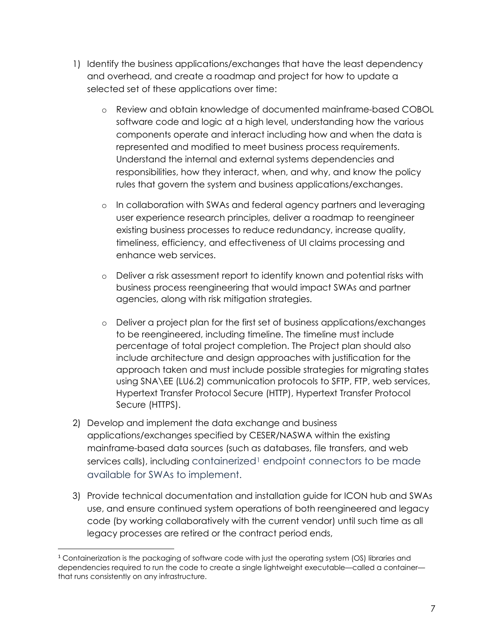- 1) Identify the business applications/exchanges that have the least dependency and overhead, and create a roadmap and project for how to update a selected set of these applications over time:
	- o Review and obtain knowledge of documented mainframe-based COBOL software code and logic at a high level, understanding how the various components operate and interact including how and when the data is represented and modified to meet business process requirements. Understand the internal and external systems dependencies and responsibilities, how they interact, when, and why, and know the policy rules that govern the system and business applications/exchanges.
	- o In collaboration with SWAs and federal agency partners and leveraging user experience research principles, deliver a roadmap to reengineer existing business processes to reduce redundancy, increase quality, timeliness, efficiency, and effectiveness of UI claims processing and enhance web services.
	- o Deliver a risk assessment report to identify known and potential risks with business process reengineering that would impact SWAs and partner agencies, along with risk mitigation strategies.
	- o Deliver a project plan for the first set of business applications/exchanges to be reengineered, including timeline. The timeline must include percentage of total project completion. The Project plan should also include architecture and design approaches with justification for the approach taken and must include possible strategies for migrating states using SNA\EE (LU6.2) communication protocols to SFTP, FTP, web services, Hypertext Transfer Protocol Secure (HTTP), Hypertext Transfer Protocol Secure (HTTPS).
- 2) Develop and implement the data exchange and business applications/exchanges specified by CESER/NASWA within the existing mainframe-based data sources (such as databases, file transfers, and web services calls), including containerized<sup>[1](#page-6-0)</sup> endpoint connectors to be made available for SWAs to implement.
- 3) Provide technical documentation and installation guide for ICON hub and SWAs use, and ensure continued system operations of both reengineered and legacy code (by working collaboratively with the current vendor) until such time as all legacy processes are retired or the contract period ends,

<span id="page-6-0"></span><sup>1</sup> Containerization is the packaging of software code with just the operating system (OS) libraries and dependencies required to run the code to create a single lightweight executable—called a container that runs consistently on any infrastructure.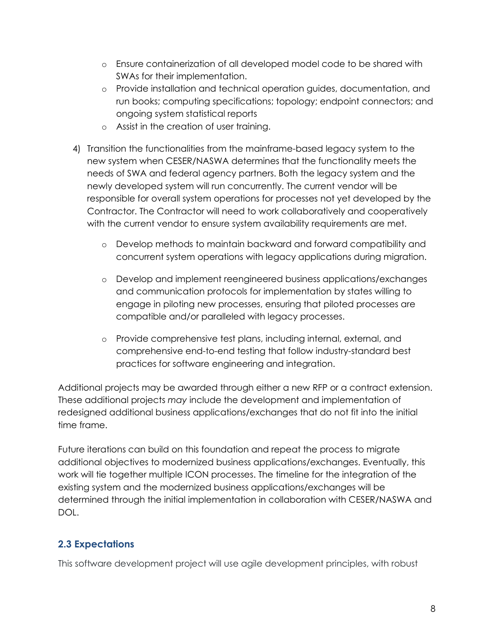- o Ensure containerization of all developed model code to be shared with SWAs for their implementation.
- o Provide installation and technical operation guides, documentation, and run books; computing specifications; topology; endpoint connectors; and ongoing system statistical reports
- o Assist in the creation of user training.
- 4) Transition the functionalities from the mainframe-based legacy system to the new system when CESER/NASWA determines that the functionality meets the needs of SWA and federal agency partners. Both the legacy system and the newly developed system will run concurrently. The current vendor will be responsible for overall system operations for processes not yet developed by the Contractor. The Contractor will need to work collaboratively and cooperatively with the current vendor to ensure system availability requirements are met.
	- o Develop methods to maintain backward and forward compatibility and concurrent system operations with legacy applications during migration.
	- o Develop and implement reengineered business applications/exchanges and communication protocols for implementation by states willing to engage in piloting new processes, ensuring that piloted processes are compatible and/or paralleled with legacy processes.
	- o Provide comprehensive test plans, including internal, external, and comprehensive end-to-end testing that follow industry-standard best practices for software engineering and integration.

Additional projects may be awarded through either a new RFP or a contract extension. These additional projects *may* include the development and implementation of redesigned additional business applications/exchanges that do not fit into the initial time frame.

Future iterations can build on this foundation and repeat the process to migrate additional objectives to modernized business applications/exchanges. Eventually, this work will tie together multiple ICON processes. The timeline for the integration of the existing system and the modernized business applications/exchanges will be determined through the initial implementation in collaboration with CESER/NASWA and DOL.

### **2.3 Expectations**

This software development project will use agile development principles, with robust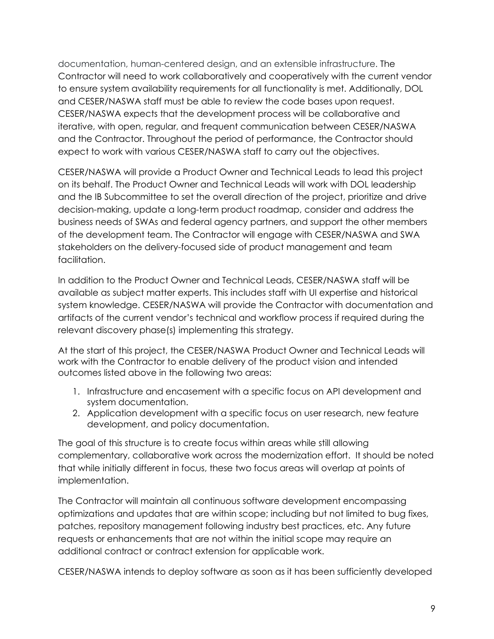documentation, human-centered design, and an extensible infrastructure. The Contractor will need to work collaboratively and cooperatively with the current vendor to ensure system availability requirements for all functionality is met. Additionally, DOL and CESER/NASWA staff must be able to review the code bases upon request. CESER/NASWA expects that the development process will be collaborative and iterative, with open, regular, and frequent communication between CESER/NASWA and the Contractor. Throughout the period of performance, the Contractor should expect to work with various CESER/NASWA staff to carry out the objectives.

CESER/NASWA will provide a Product Owner and Technical Leads to lead this project on its behalf. The Product Owner and Technical Leads will work with DOL leadership and the IB Subcommittee to set the overall direction of the project, prioritize and drive decision-making, update a long-term product roadmap, consider and address the business needs of SWAs and federal agency partners, and support the other members of the development team. The Contractor will engage with CESER/NASWA and SWA stakeholders on the delivery-focused side of product management and team facilitation.

In addition to the Product Owner and Technical Leads, CESER/NASWA staff will be available as subject matter experts. This includes staff with UI expertise and historical system knowledge. CESER/NASWA will provide the Contractor with documentation and artifacts of the current vendor's technical and workflow process if required during the relevant discovery phase(s) implementing this strategy.

At the start of this project, the CESER/NASWA Product Owner and Technical Leads will work with the Contractor to enable delivery of the product vision and intended outcomes listed above in the following two areas:

- 1. Infrastructure and encasement with a specific focus on API development and system documentation.
- 2. Application development with a specific focus on user research, new feature development, and policy documentation.

The goal of this structure is to create focus within areas while still allowing complementary, collaborative work across the modernization effort. It should be noted that while initially different in focus, these two focus areas will overlap at points of implementation.

The Contractor will maintain all continuous software development encompassing optimizations and updates that are within scope; including but not limited to bug fixes, patches, repository management following industry best practices, etc. Any future requests or enhancements that are not within the initial scope may require an additional contract or contract extension for applicable work.

CESER/NASWA intends to deploy software as soon as it has been sufficiently developed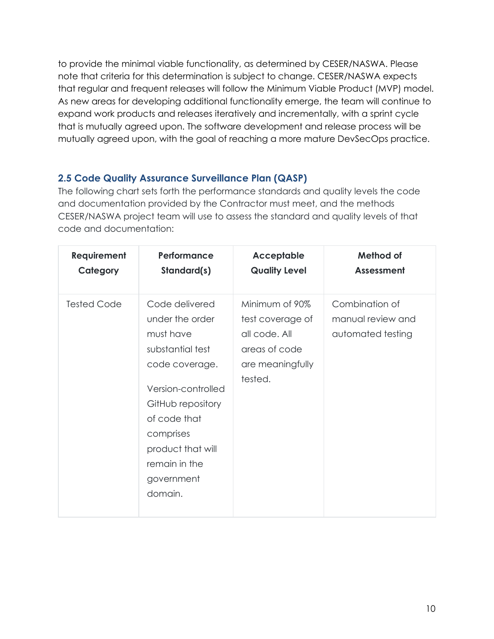to provide the minimal viable functionality, as determined by CESER/NASWA. Please note that criteria for this determination is subject to change. CESER/NASWA expects that regular and frequent releases will follow the Minimum Viable Product (MVP) model. As new areas for developing additional functionality emerge, the team will continue to expand work products and releases iteratively and incrementally, with a sprint cycle that is mutually agreed upon. The software development and release process will be mutually agreed upon, with the goal of reaching a more mature DevSecOps practice.

### **2.5 Code Quality Assurance Surveillance Plan (QASP)**

The following chart sets forth the performance standards and quality levels the code and documentation provided by the Contractor must meet, and the methods CESER/NASWA project team will use to assess the standard and quality levels of that code and documentation:

| <b>Requirement</b> | Performance                                                                                                                                                                                                                 | <b>Acceptable</b>                                                                                   | Method of                                                |
|--------------------|-----------------------------------------------------------------------------------------------------------------------------------------------------------------------------------------------------------------------------|-----------------------------------------------------------------------------------------------------|----------------------------------------------------------|
| Category           | Standard(s)                                                                                                                                                                                                                 | <b>Quality Level</b>                                                                                | <b>Assessment</b>                                        |
| <b>Tested Code</b> | Code delivered<br>under the order<br>must have<br>substantial test<br>code coverage.<br>Version-controlled<br>GitHub repository<br>of code that<br>comprises<br>product that will<br>remain in the<br>government<br>domain. | Minimum of 90%<br>test coverage of<br>all code. All<br>areas of code<br>are meaningfully<br>tested. | Combination of<br>manual review and<br>automated testing |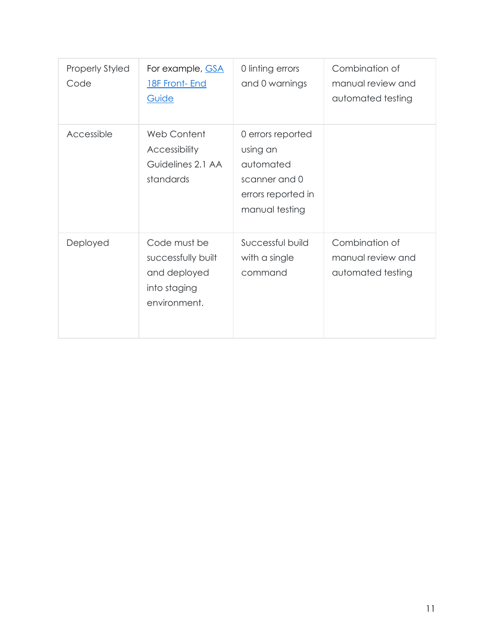| <b>Properly Styled</b><br>Code | For example, <b>GSA</b><br><b>18F Front- End</b><br>Guide                          | 0 linting errors<br>and 0 warnings                                                                  | Combination of<br>manual review and<br>automated testing |
|--------------------------------|------------------------------------------------------------------------------------|-----------------------------------------------------------------------------------------------------|----------------------------------------------------------|
| Accessible                     | Web Content<br>Accessibility<br>Guidelines 2.1 AA<br>standards                     | 0 errors reported<br>using an<br>automated<br>scanner and 0<br>errors reported in<br>manual testing |                                                          |
| Deployed                       | Code must be<br>successfully built<br>and deployed<br>into staging<br>environment. | Successful build<br>with a single<br>command                                                        | Combination of<br>manual review and<br>automated testing |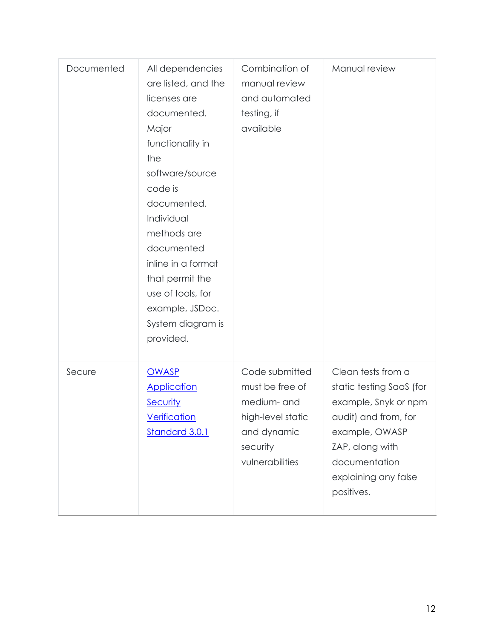| Documented | All dependencies<br>are listed, and the<br>licenses are<br>documented.<br>Major<br>functionality in<br>the<br>software/source<br>code is<br>documented.<br>Individual<br>methods are<br>documented<br>inline in a format<br>that permit the<br>use of tools, for<br>example, JSDoc.<br>System diagram is<br>provided. | Combination of<br>manual review<br>and automated<br>testing, if<br>available                                        | Manual review                                                                                                                                                                              |
|------------|-----------------------------------------------------------------------------------------------------------------------------------------------------------------------------------------------------------------------------------------------------------------------------------------------------------------------|---------------------------------------------------------------------------------------------------------------------|--------------------------------------------------------------------------------------------------------------------------------------------------------------------------------------------|
| Secure     | <b>OWASP</b><br><b>Application</b><br>Security<br><b>Verification</b><br>Standard 3.0.1                                                                                                                                                                                                                               | Code submitted<br>must be free of<br>medium- and<br>high-level static<br>and dynamic<br>security<br>vulnerabilities | Clean tests from a<br>static testing SaaS (for<br>example, Snyk or npm<br>audit) and from, for<br>example, OWASP<br>ZAP, along with<br>documentation<br>explaining any false<br>positives. |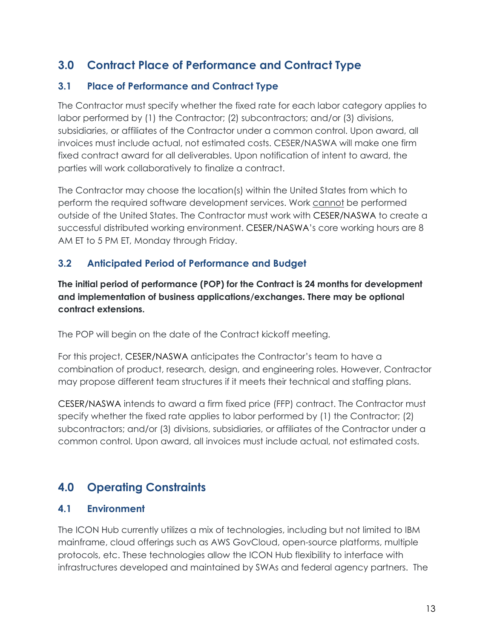# **3.0 Contract Place of Performance and Contract Type**

## **3.1 Place of Performance and Contract Type**

The Contractor must specify whether the fixed rate for each labor category applies to labor performed by (1) the Contractor; (2) subcontractors; and/or (3) divisions, subsidiaries, or affiliates of the Contractor under a common control. Upon award, all invoices must include actual, not estimated costs. CESER/NASWA will make one firm fixed contract award for all deliverables. Upon notification of intent to award, the parties will work collaboratively to finalize a contract.

The Contractor may choose the location(s) within the United States from which to perform the required software development services. Work cannot be performed outside of the United States. The Contractor must work with CESER/NASWA to create a successful distributed working environment. CESER/NASWA's core working hours are 8 AM ET to 5 PM ET, Monday through Friday.

### **3.2 Anticipated Period of Performance and Budget**

**The initial period of performance (POP) for the Contract is 24 months for development and implementation of business applications/exchanges. There may be optional contract extensions.**

The POP will begin on the date of the Contract kickoff meeting.

For this project, CESER/NASWA anticipates the Contractor's team to have a combination of product, research, design, and engineering roles. However, Contractor may propose different team structures if it meets their technical and staffing plans.

CESER/NASWA intends to award a firm fixed price (FFP) contract. The Contractor must specify whether the fixed rate applies to labor performed by (1) the Contractor; (2) subcontractors; and/or (3) divisions, subsidiaries, or affiliates of the Contractor under a common control. Upon award, all invoices must include actual, not estimated costs.

# **4.0 Operating Constraints**

### **4.1 Environment**

The ICON Hub currently utilizes a mix of technologies, including but not limited to IBM mainframe, cloud offerings such as AWS GovCloud, open-source platforms, multiple protocols, etc. These technologies allow the ICON Hub flexibility to interface with infrastructures developed and maintained by SWAs and federal agency partners. The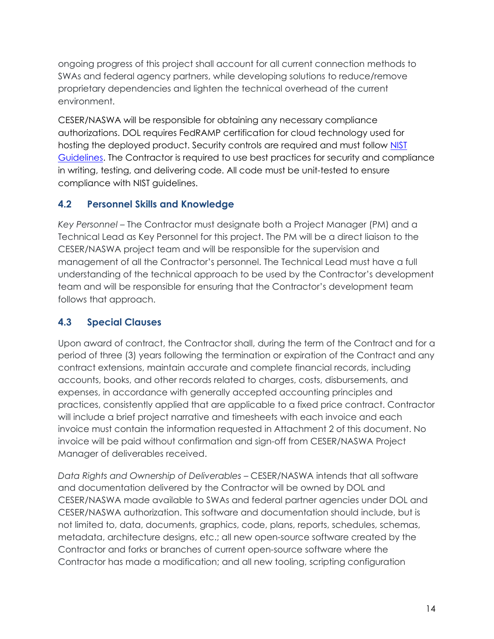ongoing progress of this project shall account for all current connection methods to SWAs and federal agency partners, while developing solutions to reduce/remove proprietary dependencies and lighten the technical overhead of the current environment.

CESER/NASWA will be responsible for obtaining any necessary compliance authorizations. DOL requires FedRAMP certification for cloud technology used for hosting the deployed product. Security controls are required and must follow [NIST](https://csrc.nist.gov/publications/detail/sp/800-53/rev-5/final)  [Guidelines.](https://csrc.nist.gov/publications/detail/sp/800-53/rev-5/final) The Contractor is required to use best practices for security and compliance in writing, testing, and delivering code. All code must be unit-tested to ensure compliance with NIST guidelines.

## **4.2 Personnel Skills and Knowledge**

*Key Personnel* – The Contractor must designate both a Project Manager (PM) and a Technical Lead as Key Personnel for this project. The PM will be a direct liaison to the CESER/NASWA project team and will be responsible for the supervision and management of all the Contractor's personnel. The Technical Lead must have a full understanding of the technical approach to be used by the Contractor's development team and will be responsible for ensuring that the Contractor's development team follows that approach.

## **4.3 Special Clauses**

Upon award of contract, the Contractor shall, during the term of the Contract and for a period of three (3) years following the termination or expiration of the Contract and any contract extensions, maintain accurate and complete financial records, including accounts, books, and other records related to charges, costs, disbursements, and expenses, in accordance with generally accepted accounting principles and practices, consistently applied that are applicable to a fixed price contract. Contractor will include a brief project narrative and timesheets with each invoice and each invoice must contain the information requested in Attachment 2 of this document. No invoice will be paid without confirmation and sign-off from CESER/NASWA Project Manager of deliverables received.

*Data Rights and Ownership of Deliverables* – CESER/NASWA intends that all software and documentation delivered by the Contractor will be owned by DOL and CESER/NASWA made available to SWAs and federal partner agencies under DOL and CESER/NASWA authorization. This software and documentation should include, but is not limited to, data, documents, graphics, code, plans, reports, schedules, schemas, metadata, architecture designs, etc.; all new open-source software created by the Contractor and forks or branches of current open-source software where the Contractor has made a modification; and all new tooling, scripting configuration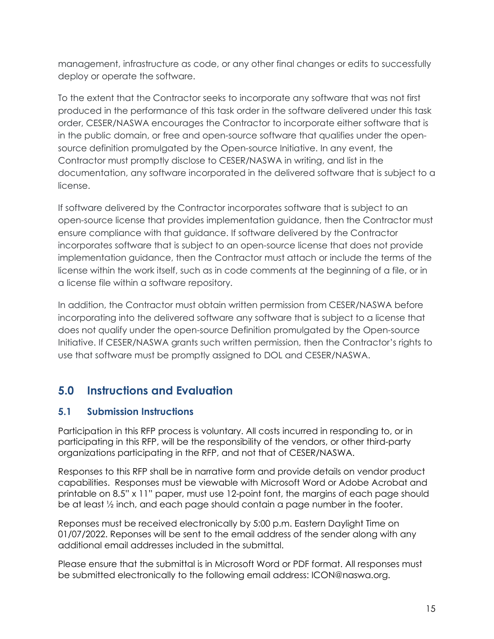management, infrastructure as code, or any other final changes or edits to successfully deploy or operate the software.

To the extent that the Contractor seeks to incorporate any software that was not first produced in the performance of this task order in the software delivered under this task order, CESER/NASWA encourages the Contractor to incorporate either software that is in the public domain, or free and open-source software that qualifies under the opensource definition promulgated by the Open-source Initiative. In any event, the Contractor must promptly disclose to CESER/NASWA in writing, and list in the documentation, any software incorporated in the delivered software that is subject to a license.

If software delivered by the Contractor incorporates software that is subject to an open-source license that provides implementation guidance, then the Contractor must ensure compliance with that guidance. If software delivered by the Contractor incorporates software that is subject to an open-source license that does not provide implementation guidance, then the Contractor must attach or include the terms of the license within the work itself, such as in code comments at the beginning of a file, or in a license file within a software repository.

In addition, the Contractor must obtain written permission from CESER/NASWA before incorporating into the delivered software any software that is subject to a license that does not qualify under the open-source Definition promulgated by the Open-source Initiative. If CESER/NASWA grants such written permission, then the Contractor's rights to use that software must be promptly assigned to DOL and CESER/NASWA.

# **5.0 Instructions and Evaluation**

## **5.1 Submission Instructions**

Participation in this RFP process is voluntary. All costs incurred in responding to, or in participating in this RFP, will be the responsibility of the vendors, or other third-party organizations participating in the RFP, and not that of CESER/NASWA.

Responses to this RFP shall be in narrative form and provide details on vendor product capabilities. Responses must be viewable with Microsoft Word or Adobe Acrobat and printable on 8.5" x 11" paper, must use 12-point font, the margins of each page should be at least ½ inch, and each page should contain a page number in the footer.

Reponses must be received electronically by 5:00 p.m. Eastern Daylight Time on 01/07/2022. Reponses will be sent to the email address of the sender along with any additional email addresses included in the submittal.

Please ensure that the submittal is in Microsoft Word or PDF format. All responses must be submitted electronically to the following email address: ICON@naswa.org.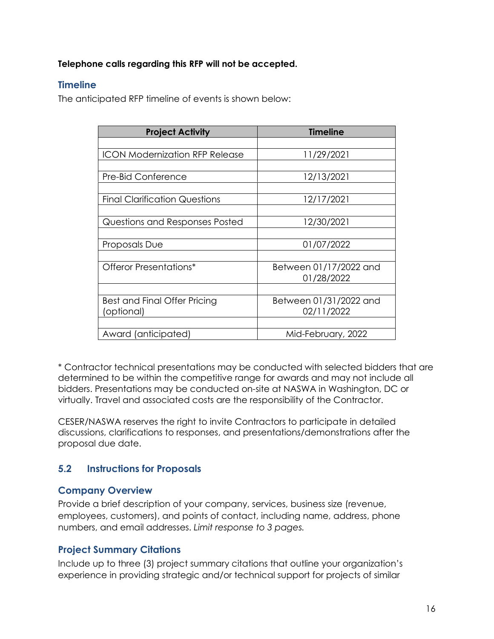#### **Telephone calls regarding this RFP will not be accepted.**

#### **Timeline**

The anticipated RFP timeline of events is shown below:

| <b>Project Activity</b>               | <b>Timeline</b>        |
|---------------------------------------|------------------------|
|                                       |                        |
| <b>ICON Modernization RFP Release</b> | 11/29/2021             |
|                                       |                        |
| Pre-Bid Conference                    | 12/13/2021             |
|                                       |                        |
| <b>Final Clarification Questions</b>  | 12/17/2021             |
|                                       |                        |
| Questions and Responses Posted        | 12/30/2021             |
|                                       |                        |
| Proposals Due                         | 01/07/2022             |
|                                       |                        |
| Offeror Presentations*                | Between 01/17/2022 and |
|                                       | 01/28/2022             |
|                                       |                        |
| Best and Final Offer Pricing          | Between 01/31/2022 and |
| (optional)                            | 02/11/2022             |
|                                       |                        |
| Award (anticipated)                   | Mid-February, 2022     |

\* Contractor technical presentations may be conducted with selected bidders that are determined to be within the competitive range for awards and may not include all bidders. Presentations may be conducted on-site at NASWA in Washington, DC or virtually. Travel and associated costs are the responsibility of the Contractor.

CESER/NASWA reserves the right to invite Contractors to participate in detailed discussions, clarifications to responses, and presentations/demonstrations after the proposal due date.

### **5.2 Instructions for Proposals**

### **Company Overview**

Provide a brief description of your company, services, business size (revenue, employees, customers), and points of contact, including name, address, phone numbers, and email addresses. *Limit response to 3 pages.*

### **Project Summary Citations**

Include up to three (3) project summary citations that outline your organization's experience in providing strategic and/or technical support for projects of similar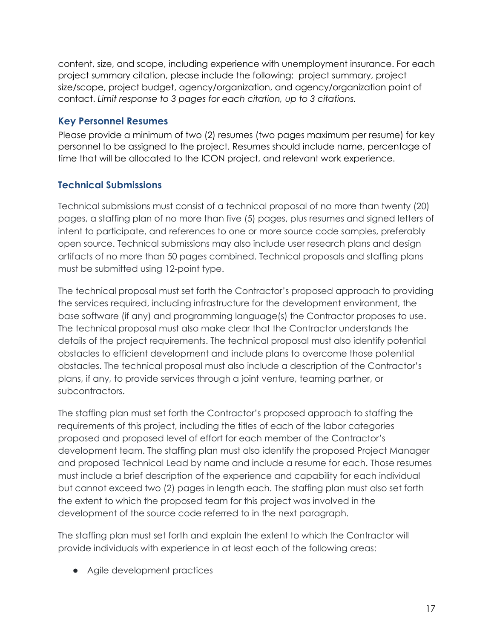content, size, and scope, including experience with unemployment insurance. For each project summary citation, please include the following: project summary, project size/scope, project budget, agency/organization, and agency/organization point of contact. *Limit response to 3 pages for each citation, up to 3 citations.*

#### **Key Personnel Resumes**

Please provide a minimum of two (2) resumes (two pages maximum per resume) for key personnel to be assigned to the project. Resumes should include name, percentage of time that will be allocated to the ICON project, and relevant work experience.

## **Technical Submissions**

Technical submissions must consist of a technical proposal of no more than twenty (20) pages, a staffing plan of no more than five (5) pages, plus resumes and signed letters of intent to participate, and references to one or more source code samples, preferably open source. Technical submissions may also include user research plans and design artifacts of no more than 50 pages combined. Technical proposals and staffing plans must be submitted using 12-point type.

The technical proposal must set forth the Contractor's proposed approach to providing the services required, including infrastructure for the development environment, the base software (if any) and programming language(s) the Contractor proposes to use. The technical proposal must also make clear that the Contractor understands the details of the project requirements. The technical proposal must also identify potential obstacles to efficient development and include plans to overcome those potential obstacles. The technical proposal must also include a description of the Contractor's plans, if any, to provide services through a joint venture, teaming partner, or subcontractors.

The staffing plan must set forth the Contractor's proposed approach to staffing the requirements of this project, including the titles of each of the labor categories proposed and proposed level of effort for each member of the Contractor's development team. The staffing plan must also identify the proposed Project Manager and proposed Technical Lead by name and include a resume for each. Those resumes must include a brief description of the experience and capability for each individual but cannot exceed two (2) pages in length each. The staffing plan must also set forth the extent to which the proposed team for this project was involved in the development of the source code referred to in the next paragraph.

The staffing plan must set forth and explain the extent to which the Contractor will provide individuals with experience in at least each of the following areas:

● Agile development practices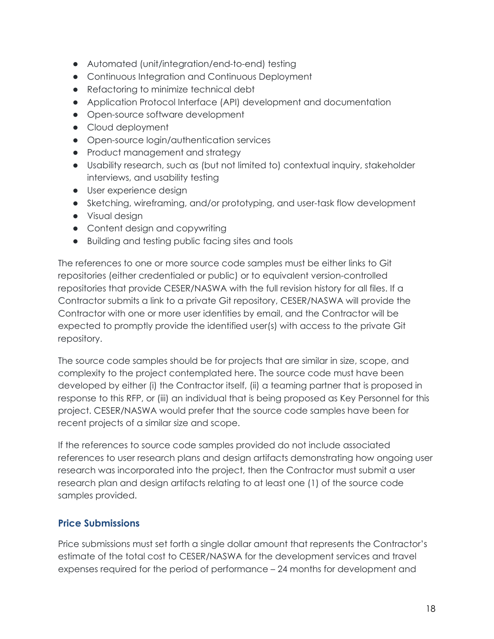- Automated (unit/integration/end-to-end) testing
- Continuous Integration and Continuous Deployment
- Refactoring to minimize technical debt
- Application Protocol Interface (API) development and documentation
- Open-source software development
- Cloud deployment
- Open-source login/authentication services
- Product management and strategy
- Usability research, such as (but not limited to) contextual inquiry, stakeholder interviews, and usability testing
- User experience design
- Sketching, wireframing, and/or prototyping, and user-task flow development
- Visual design
- Content design and copywriting
- Building and testing public facing sites and tools

The references to one or more source code samples must be either links to Git repositories (either credentialed or public) or to equivalent version-controlled repositories that provide CESER/NASWA with the full revision history for all files. If a Contractor submits a link to a private Git repository, CESER/NASWA will provide the Contractor with one or more user identities by email, and the Contractor will be expected to promptly provide the identified user(s) with access to the private Git repository.

The source code samples should be for projects that are similar in size, scope, and complexity to the project contemplated here. The source code must have been developed by either (i) the Contractor itself, (ii) a teaming partner that is proposed in response to this RFP, or (iii) an individual that is being proposed as Key Personnel for this project. CESER/NASWA would prefer that the source code samples have been for recent projects of a similar size and scope.

If the references to source code samples provided do not include associated references to user research plans and design artifacts demonstrating how ongoing user research was incorporated into the project, then the Contractor must submit a user research plan and design artifacts relating to at least one (1) of the source code samples provided.

#### **Price Submissions**

Price submissions must set forth a single dollar amount that represents the Contractor's estimate of the total cost to CESER/NASWA for the development services and travel expenses required for the period of performance – 24 months for development and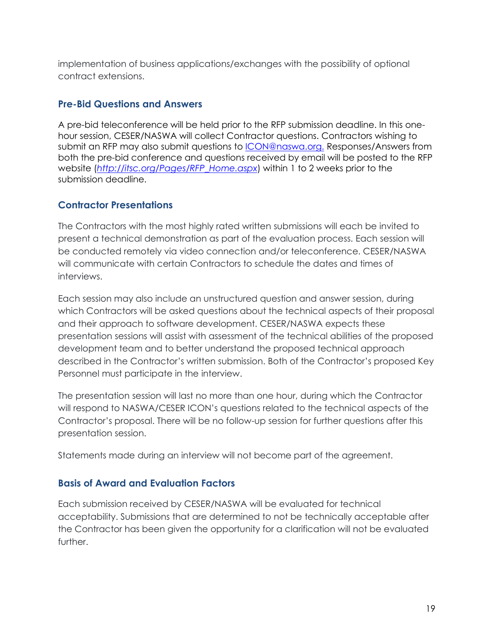implementation of business applications/exchanges with the possibility of optional contract extensions.

#### **Pre-Bid Questions and Answers**

A pre-bid teleconference will be held prior to the RFP submission deadline. In this onehour session, CESER/NASWA will collect Contractor questions. Contractors wishing to submit an RFP may also submit questions to [ICON@naswa.org.](mailto:ICON@naswa.org) Responses/Answers from both the pre-bid conference and questions received by email will be posted to the RFP website (*[http://itsc.org/Pages/RFP\\_Home.aspx](http://itsc.org/Pages/RFP_Home.aspx)*) within 1 to 2 weeks prior to the submission deadline.

#### **Contractor Presentations**

The Contractors with the most highly rated written submissions will each be invited to present a technical demonstration as part of the evaluation process. Each session will be conducted remotely via video connection and/or teleconference. CESER/NASWA will communicate with certain Contractors to schedule the dates and times of interviews.

Each session may also include an unstructured question and answer session, during which Contractors will be asked questions about the technical aspects of their proposal and their approach to software development. CESER/NASWA expects these presentation sessions will assist with assessment of the technical abilities of the proposed development team and to better understand the proposed technical approach described in the Contractor's written submission. Both of the Contractor's proposed Key Personnel must participate in the interview.

The presentation session will last no more than one hour, during which the Contractor will respond to NASWA/CESER ICON's questions related to the technical aspects of the Contractor's proposal. There will be no follow-up session for further questions after this presentation session.

Statements made during an interview will not become part of the agreement.

#### **Basis of Award and Evaluation Factors**

Each submission received by CESER/NASWA will be evaluated for technical acceptability. Submissions that are determined to not be technically acceptable after the Contractor has been given the opportunity for a clarification will not be evaluated further.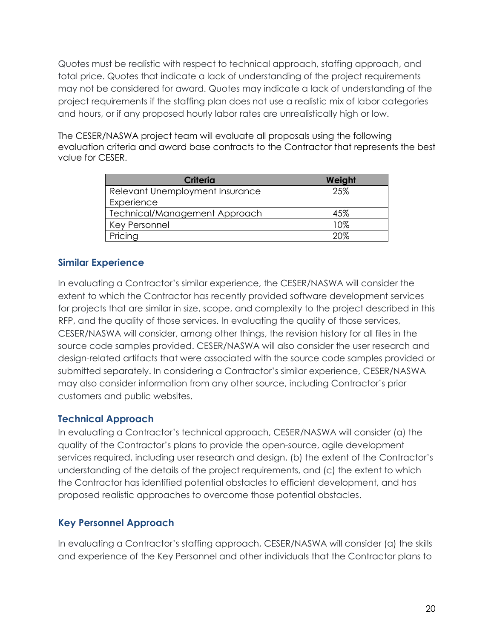Quotes must be realistic with respect to technical approach, staffing approach, and total price. Quotes that indicate a lack of understanding of the project requirements may not be considered for award. Quotes may indicate a lack of understanding of the project requirements if the staffing plan does not use a realistic mix of labor categories and hours, or if any proposed hourly labor rates are unrealistically high or low.

The CESER/NASWA project team will evaluate all proposals using the following evaluation criteria and award base contracts to the Contractor that represents the best value for CESER.

| <b>Criteria</b>                 | Weight |
|---------------------------------|--------|
| Relevant Unemployment Insurance | 25%    |
| Experience                      |        |
| Technical/Management Approach   | 45%    |
| Key Personnel                   | 10%    |
| Pricing                         | 20%    |

### **Similar Experience**

In evaluating a Contractor's similar experience, the CESER/NASWA will consider the extent to which the Contractor has recently provided software development services for projects that are similar in size, scope, and complexity to the project described in this RFP, and the quality of those services. In evaluating the quality of those services, CESER/NASWA will consider, among other things, the revision history for all files in the source code samples provided. CESER/NASWA will also consider the user research and design-related artifacts that were associated with the source code samples provided or submitted separately. In considering a Contractor's similar experience, CESER/NASWA may also consider information from any other source, including Contractor's prior customers and public websites.

### **Technical Approach**

In evaluating a Contractor's technical approach, CESER/NASWA will consider (a) the quality of the Contractor's plans to provide the open-source, agile development services required, including user research and design, (b) the extent of the Contractor's understanding of the details of the project requirements, and (c) the extent to which the Contractor has identified potential obstacles to efficient development, and has proposed realistic approaches to overcome those potential obstacles.

### **Key Personnel Approach**

In evaluating a Contractor's staffing approach, CESER/NASWA will consider (a) the skills and experience of the Key Personnel and other individuals that the Contractor plans to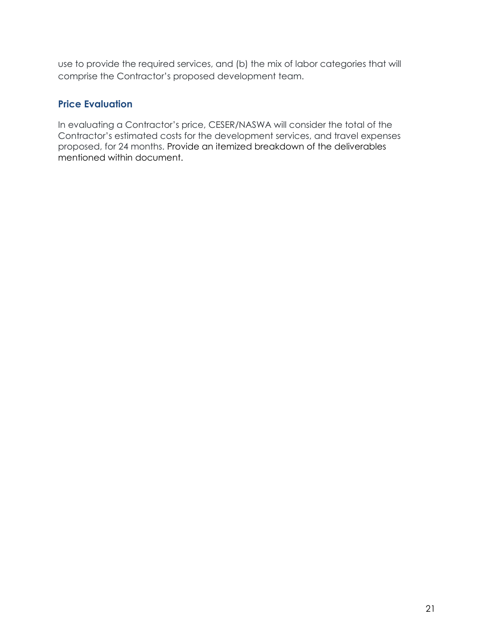use to provide the required services, and (b) the mix of labor categories that will comprise the Contractor's proposed development team.

#### **Price Evaluation**

In evaluating a Contractor's price, CESER/NASWA will consider the total of the Contractor's estimated costs for the development services, and travel expenses proposed, for 24 months. Provide an itemized breakdown of the deliverables mentioned within document.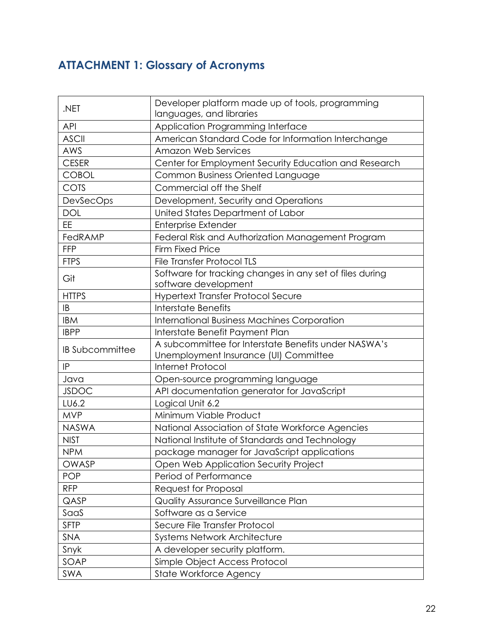# **ATTACHMENT 1: Glossary of Acronyms**

|                        | Developer platform made up of tools, programming         |  |
|------------------------|----------------------------------------------------------|--|
| .NET                   | languages, and libraries                                 |  |
| <b>API</b>             | Application Programming Interface                        |  |
| <b>ASCII</b>           | American Standard Code for Information Interchange       |  |
| AWS                    | <b>Amazon Web Services</b>                               |  |
| <b>CESER</b>           | Center for Employment Security Education and Research    |  |
| <b>COBOL</b>           | Common Business Oriented Language                        |  |
| COTS                   | Commercial off the Shelf                                 |  |
| <b>DevSecOps</b>       | Development, Security and Operations                     |  |
| <b>DOL</b>             | United States Department of Labor                        |  |
| EE                     | <b>Enterprise Extender</b>                               |  |
| FedRAMP                | Federal Risk and Authorization Management Program        |  |
| <b>FFP</b>             | <b>Firm Fixed Price</b>                                  |  |
| <b>FTPS</b>            | <b>File Transfer Protocol TLS</b>                        |  |
|                        | Software for tracking changes in any set of files during |  |
| Git                    | software development                                     |  |
| <b>HTTPS</b>           | Hypertext Transfer Protocol Secure                       |  |
| IB                     | <b>Interstate Benefits</b>                               |  |
| <b>IBM</b>             | <b>International Business Machines Corporation</b>       |  |
| <b>IBPP</b>            | Interstate Benefit Payment Plan                          |  |
| <b>IB Subcommittee</b> | A subcommittee for Interstate Benefits under NASWA's     |  |
|                        | Unemployment Insurance (UI) Committee                    |  |
| IP                     | <b>Internet Protocol</b>                                 |  |
| Java                   | Open-source programming language                         |  |
| <b>JSDOC</b>           | API documentation generator for JavaScript               |  |
| LU6.2                  | Logical Unit 6.2                                         |  |
| <b>MVP</b>             | Minimum Viable Product                                   |  |
| <b>NASWA</b>           | National Association of State Workforce Agencies         |  |
| <b>NIST</b>            | National Institute of Standards and Technology           |  |
| <b>NPM</b>             | package manager for JavaScript applications              |  |
| OWASP                  | Open Web Application Security Project                    |  |
| <b>POP</b>             | Period of Performance                                    |  |
| <b>RFP</b>             | Request for Proposal                                     |  |
| QASP                   | Quality Assurance Surveillance Plan                      |  |
| SaaS                   | Software as a Service                                    |  |
| <b>SFTP</b>            | Secure File Transfer Protocol                            |  |
| SNA                    | <b>Systems Network Architecture</b>                      |  |
| Snyk                   | A developer security platform.                           |  |
| SOAP                   | Simple Object Access Protocol                            |  |
| SWA                    | State Workforce Agency                                   |  |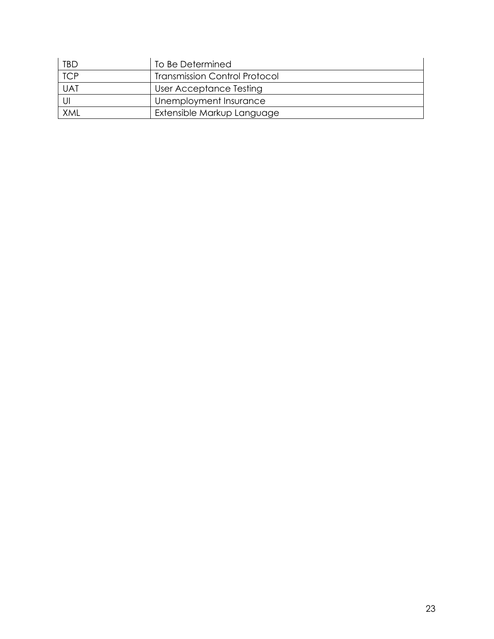| TBD        | To Be Determined                     |
|------------|--------------------------------------|
| <b>TCP</b> | <b>Transmission Control Protocol</b> |
| <b>UAT</b> | User Acceptance Testing              |
|            | Unemployment Insurance               |
| <b>XML</b> | Extensible Markup Language           |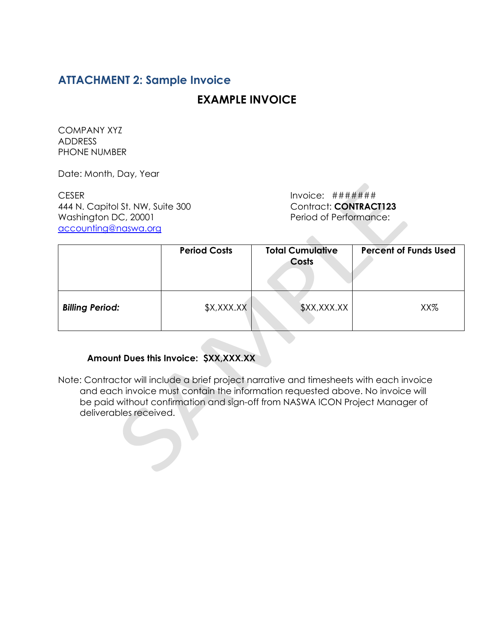## **ATTACHMENT 2: Sample Invoice**

## **EXAMPLE INVOICE**

COMPANY XYZ ADDRESS PHONE NUMBER

Date: Month, Day, Year

CESER Invoice:  $\# \# \# \# \#$ 444 N. Capitol St. NW, Suite 300 Contract: **CONTRACT123** Washington DC, 20001 Period of Performance: [accounting@naswa.org](mailto:accounting@naswa.org)

|                        | <b>Period Costs</b> | <b>Total Cumulative</b><br>Costs | <b>Percent of Funds Used</b> |
|------------------------|---------------------|----------------------------------|------------------------------|
| <b>Billing Period:</b> | \$X,XXX.XX          | \$XX,XXX.XX                      | XX%                          |

#### **Amount Dues this Invoice: \$XX,XXX.XX**

Note: Contractor will include a brief project narrative and timesheets with each invoice and each invoice must contain the information requested above. No invoice will be paid without confirmation and sign-off from NASWA ICON Project Manager of deliverables received.